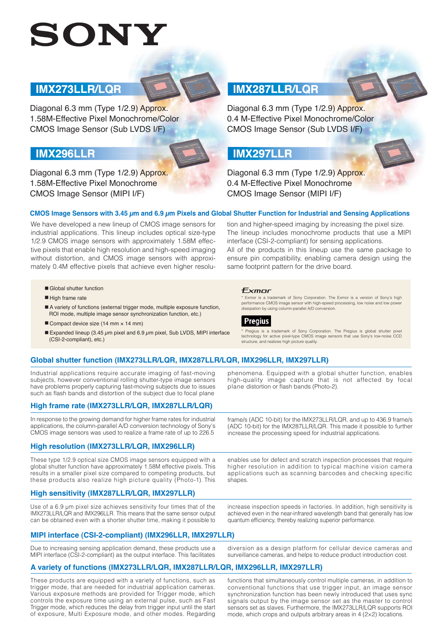# SONY

#### **IMX273LLR/LQR**

Diagonal 6.3 mm (Type 1/2.9) Approx. 1.58M-Effective Pixel Monochrome/Color CMOS Image Sensor (Sub LVDS I/F)

#### **IMX296LLR**

Diagonal 6.3 mm (Type 1/2.9) Approx. 1.58M-Effective Pixel Monochrome CMOS Image Sensor (MIPI I/F)

### **IMX287LLR/LQR**

**UNX287LLR/LQR**<br>Diagonal 6.3 mm (Type 1/2.9) Approx.<br>0.4 M-Effective Pixel Monochrome/Cole<br>CMOS Image Sensor (Sub LVDS I/F)<br>**IMX297LLR**<br>Diagonal 6.3 mm (Type 1/2.9) Approx.<br>0.4 M-Effective Pixel Monochrome<br>CMOS Image Senso 0.4 M-Effective Pixel Monochrome/Color CMOS Image Sensor (Sub LVDS I/F)

#### **IMX297LLR**

Diagonal 6.3 mm (Type 1/2.9) Approx. 0.4 M-Effective Pixel Monochrome CMOS Image Sensor (MIPI I/F)

#### **CMOS Image Sensors with 3.45 μm and 6.9 μm Pixels and Global Shutter Function for Industrial and Sensing Applications**

We have developed a new lineup of CMOS image sensors for industrial applications. This lineup includes optical size-type 1/2.9 CMOS image sensors with approximately 1.58M effective pixels that enable high resolution and high-speed imaging without distortion, and CMOS image sensors with approximately 0.4M effective pixels that achieve even higher resolu-

#### ■ Global shutter function

- High frame rate
- A variety of functions (external trigger mode, multiple exposure function, ROI mode, multiple image sensor synchronization function, etc.)
- Compact device size (14 mm × 14 mm)
- Expanded lineup (3.45  $\mu$ m pixel and 6.9  $\mu$ m pixel, Sub LVDS, MIPI interface (CSI-2-compliant), etc.)

#### ensure pin compatibility, enabling camera design using the same footprint pattern for the drive board.

plane distortion or flash bands (Photo-2).

Exmor is a trademark of Sony Corporation. The Exmor is a version of Sony's high performance CMOS image sensor with high-speed processing, low noise and low power dissipation by using column-parallel A/D conversion.

tion and higher-speed imaging by increasing the pixel size. The lineup includes monochrome products that use a MIPI

All of the products in this lineup use the same package to

interface (CSI-2-compliant) for sensing applications.



Pregius is a trademark of Sony Corporation. The Pregius is global shutter pixel technology for active pixel-type CMOS image sensors that use Sony's low-noise CCD structure, and realizes high picture quality.

phenomena. Equipped with a global shutter function, enables high-quality image capture that is not affected by focal

#### **Global shutter function (IMX273LLR/LQR, IMX287LLR/LQR, IMX296LLR, IMX297LLR)**

Industrial applications require accurate imaging of fast-moving subjects, however conventional rolling shutter-type image sensors have problems properly capturing fast-moving subjects due to issues such as flash bands and distortion of the subject due to focal plane

#### **High frame rate (IMX273LLR/LQR, IMX287LLR/LQR)**

In response to the growing demand for higher frame rates for industrial applications, the column-parallel A/D conversion technology of Sony's CMOS image sensors was used to realize a frame rate of up to 226.5

#### **High resolution (IMX273LLR/LQR, IMX296LLR)**

These type 1/2.9 optical size CMOS image sensors equipped with a global shutter function have approximately 1.58M effective pixels. This results in a smaller pixel size compared to competing products, but these products also realize high picture quality (Photo-1). This

enables use for defect and scratch inspection processes that require higher resolution in addition to typical machine vision camera applications such as scanning barcodes and checking specific shapes.

#### **High sensitivity (IMX287LLR/LQR, IMX297LLR)**

Use of a 6.9 μm pixel size achieves sensitivity four times that of the IMX273LLR/LQR and IMX296LLR. This means that the same sensor output can be obtained even with a shorter shutter time, making it possible to

2 increase inspection speeds in factories. In addition, high sensitivity is achieved even in the near-infrared wavelength band that generally has low quantum efficiency, thereby realizing superior performance.

#### **MIPI interface (CSI-2-compliant) (IMX296LLR, IMX297LLR)**

Due to increasing sensing application demand, these products use a MIPI interface (CSI-2-compliant) as the output interface. This facilitates

diversion as a design platform for cellular device cameras and surveillance cameras, and helps to reduce product introduction cost.

#### **A variety of functions (IMX273LLR/LQR, IMX287LLR/LQR, IMX296LLR, IMX297LLR)**

These products are equipped with a variety of functions, such as trigger mode, that are needed for industrial application cameras. Various exposure methods are provided for Trigger mode, which controls the exposure time using an external pulse, such as Fast Trigger mode, which reduces the delay from trigger input until the start of exposure, Multi Exposure mode, and other modes. Regarding

functions that simultaneously control multiple cameras, in addition to conventional functions that use trigger input, an image sensor synchronization function has been newly introduced that uses sync signals output by the image sensor set as the master to control sensors set as slaves. Furthermore, the IMX273LLR/LQR supports ROI mode, which crops and outputs arbitrary areas in 4 (2×2) locations.

frame/s (ADC 10-bit) for the IMX273LLR/LQR, and up to 436.9 frame/s (ADC 10-bit) for the IMX287LLR/LQR. This made it possible to further increase the processing speed for industrial applications.

## Exmor